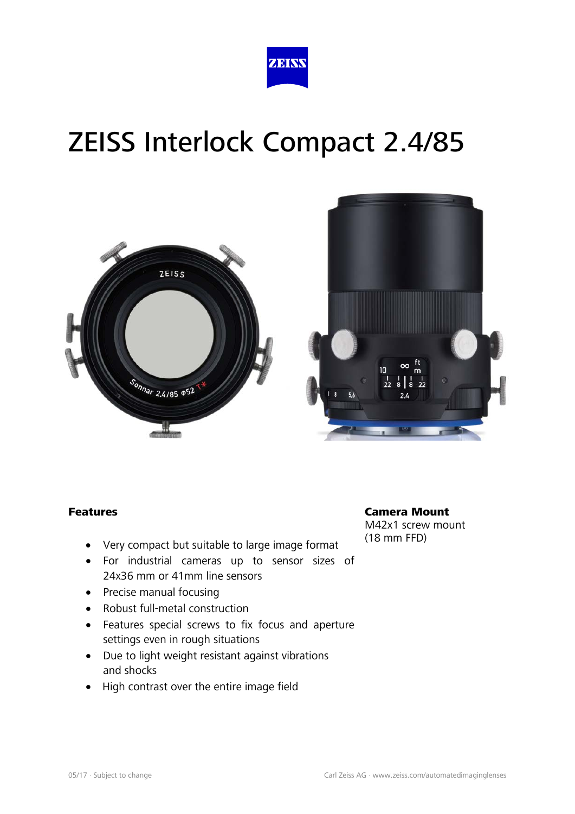





#### Features

- Very compact but suitable to large image format
- For industrial cameras up to sensor sizes of 24x36 mm or 41mm line sensors
- Precise manual focusing
- Robust full-metal construction
- Features special screws to fix focus and aperture settings even in rough situations
- Due to light weight resistant against vibrations and shocks
- High contrast over the entire image field

Camera Mount M42x1 screw mount (18 mm FFD)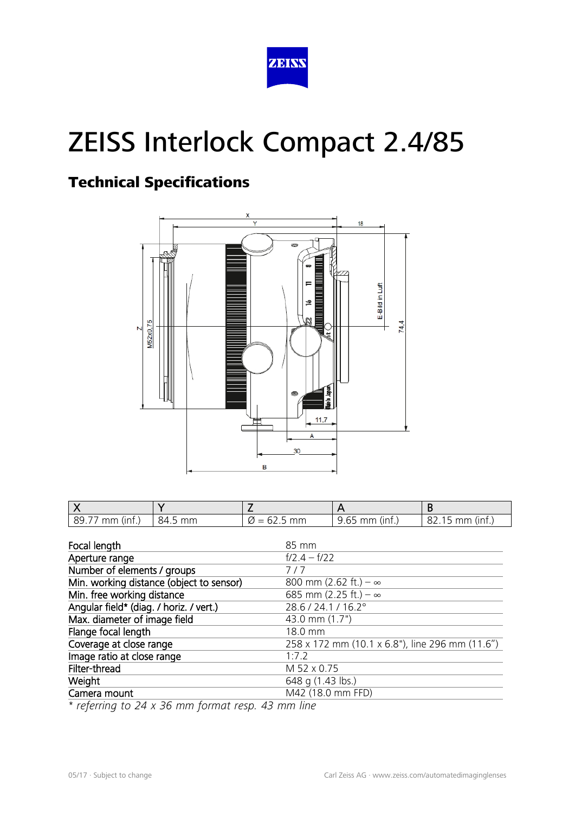

### Technical Specifications



| $189.77$ mm (inf.) | 84.5 mm | $\varnothing$ = 62.5 mm | 9.65 mm (inf.) | $82.15$ mm (inf.) |
|--------------------|---------|-------------------------|----------------|-------------------|

| Focal length                             | 85 mm                                           |
|------------------------------------------|-------------------------------------------------|
| Aperture range                           | $f/2.4 - f/22$                                  |
| Number of elements / groups              | 7/7                                             |
| Min. working distance (object to sensor) | 800 mm (2.62 ft.) – $\infty$                    |
| Min. free working distance               | 685 mm (2.25 ft.) – $\infty$                    |
| Angular field* (diag. / horiz. / vert.)  | 28.6 / 24.1 / 16.2°                             |
| Max. diameter of image field             | 43.0 mm (1.7")                                  |
| Flange focal length                      | 18.0 mm                                         |
| Coverage at close range                  | 258 x 172 mm (10.1 x 6.8"), line 296 mm (11.6") |
| Image ratio at close range               | 1:7.2                                           |
| Filter-thread                            | M 52 x 0.75                                     |
| Weight                                   | 648 g (1.43 lbs.)                               |
| Camera mount                             | M42 (18.0 mm FFD)                               |

*\* referring to 24 x 36 mm format resp. 43 mm line*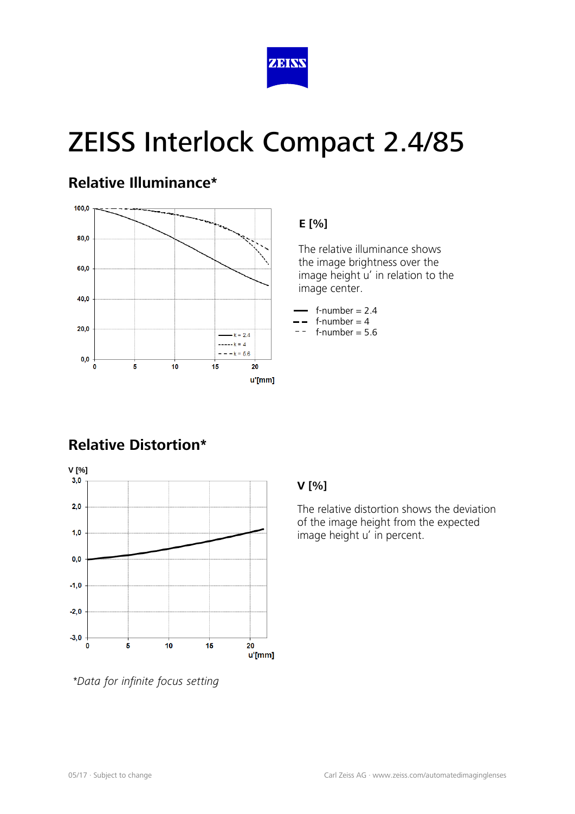

#### **Relative Illuminance\***



#### **E [%]**

 The relative illuminance shows the image brightness over the image height u' in relation to the image center.

- $f$ -number = 2.4
- $f$ -number = 4  $f$ -number = 5.6

### **Relative Distortion\***



#### **V [%]**

The relative distortion shows the deviation of the image height from the expected image height u' in percent.

*\*Data for infinite focus setting*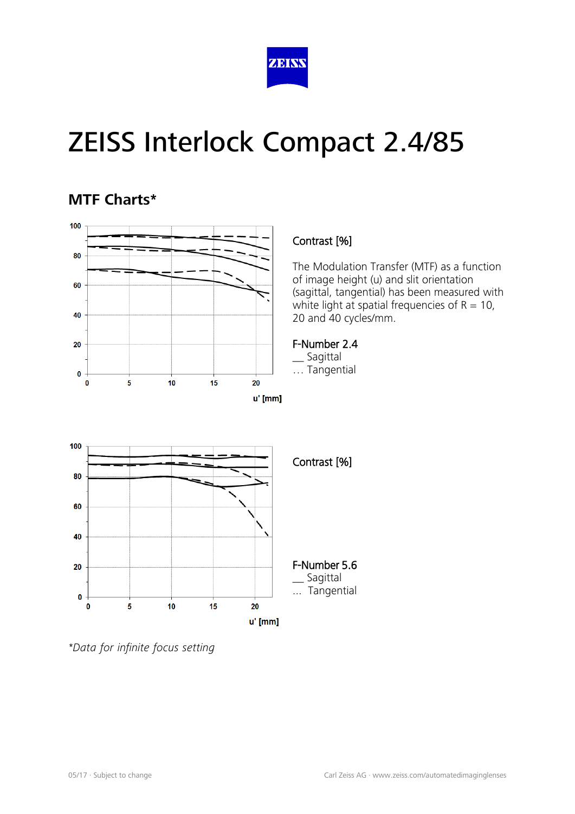

### **MTF Charts\***



#### Contrast [%]

The Modulation Transfer (MTF) as a function of image height (u) and slit orientation (sagittal, tangential) has been measured with white light at spatial frequencies of  $R = 10$ , 20 and 40 cycles/mm.

#### F-Number 2.4

\_\_ Sagittal … Tangential



*<sup>\*</sup>Data for infinite focus setting*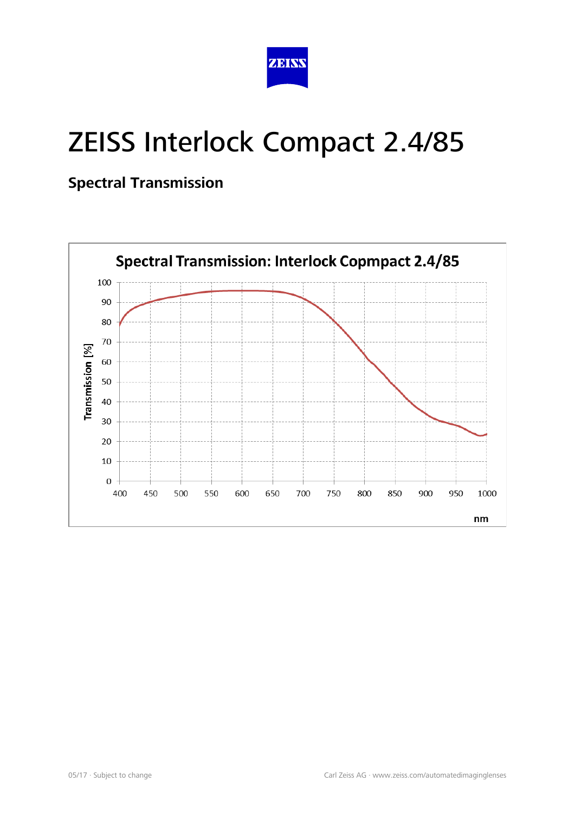

### **Spectral Transmission**